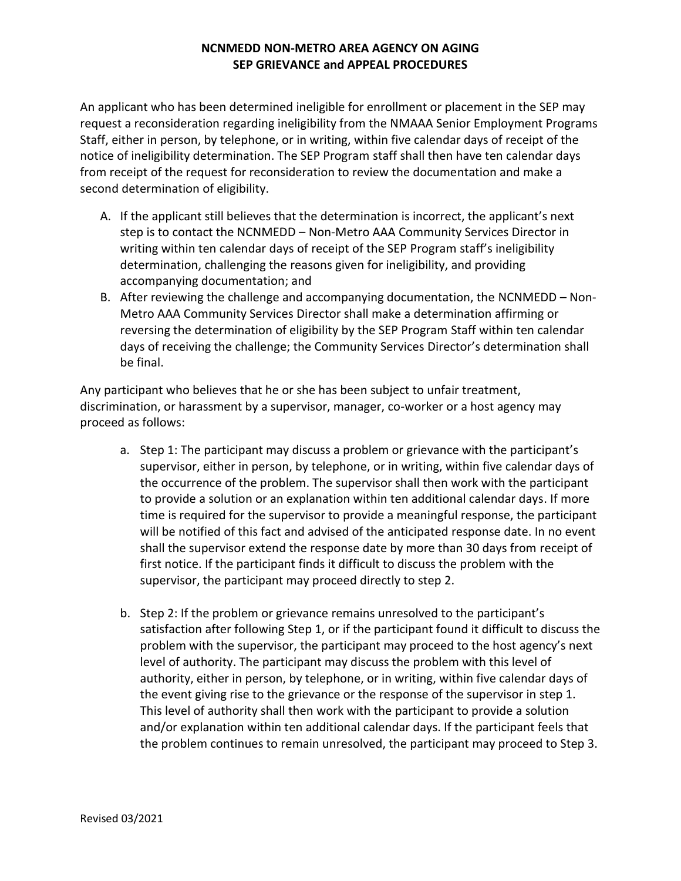## **NCNMEDD NON-METRO AREA AGENCY ON AGING SEP GRIEVANCE and APPEAL PROCEDURES**

An applicant who has been determined ineligible for enrollment or placement in the SEP may request a reconsideration regarding ineligibility from the NMAAA Senior Employment Programs Staff, either in person, by telephone, or in writing, within five calendar days of receipt of the notice of ineligibility determination. The SEP Program staff shall then have ten calendar days from receipt of the request for reconsideration to review the documentation and make a second determination of eligibility.

- A. If the applicant still believes that the determination is incorrect, the applicant's next step is to contact the NCNMEDD – Non-Metro AAA Community Services Director in writing within ten calendar days of receipt of the SEP Program staff's ineligibility determination, challenging the reasons given for ineligibility, and providing accompanying documentation; and
- B. After reviewing the challenge and accompanying documentation, the NCNMEDD Non-Metro AAA Community Services Director shall make a determination affirming or reversing the determination of eligibility by the SEP Program Staff within ten calendar days of receiving the challenge; the Community Services Director's determination shall be final.

Any participant who believes that he or she has been subject to unfair treatment, discrimination, or harassment by a supervisor, manager, co-worker or a host agency may proceed as follows:

- a. Step 1: The participant may discuss a problem or grievance with the participant's supervisor, either in person, by telephone, or in writing, within five calendar days of the occurrence of the problem. The supervisor shall then work with the participant to provide a solution or an explanation within ten additional calendar days. If more time is required for the supervisor to provide a meaningful response, the participant will be notified of this fact and advised of the anticipated response date. In no event shall the supervisor extend the response date by more than 30 days from receipt of first notice. If the participant finds it difficult to discuss the problem with the supervisor, the participant may proceed directly to step 2.
- b. Step 2: If the problem or grievance remains unresolved to the participant's satisfaction after following Step 1, or if the participant found it difficult to discuss the problem with the supervisor, the participant may proceed to the host agency's next level of authority. The participant may discuss the problem with this level of authority, either in person, by telephone, or in writing, within five calendar days of the event giving rise to the grievance or the response of the supervisor in step 1. This level of authority shall then work with the participant to provide a solution and/or explanation within ten additional calendar days. If the participant feels that the problem continues to remain unresolved, the participant may proceed to Step 3.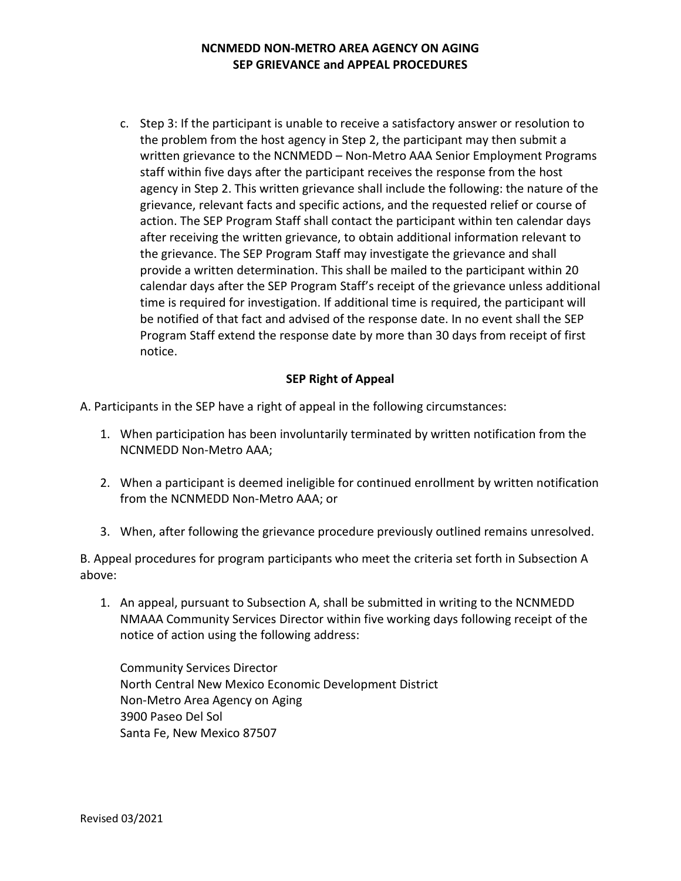## **NCNMEDD NON-METRO AREA AGENCY ON AGING SEP GRIEVANCE and APPEAL PROCEDURES**

c. Step 3: If the participant is unable to receive a satisfactory answer or resolution to the problem from the host agency in Step 2, the participant may then submit a written grievance to the NCNMEDD – Non-Metro AAA Senior Employment Programs staff within five days after the participant receives the response from the host agency in Step 2. This written grievance shall include the following: the nature of the grievance, relevant facts and specific actions, and the requested relief or course of action. The SEP Program Staff shall contact the participant within ten calendar days after receiving the written grievance, to obtain additional information relevant to the grievance. The SEP Program Staff may investigate the grievance and shall provide a written determination. This shall be mailed to the participant within 20 calendar days after the SEP Program Staff's receipt of the grievance unless additional time is required for investigation. If additional time is required, the participant will be notified of that fact and advised of the response date. In no event shall the SEP Program Staff extend the response date by more than 30 days from receipt of first notice.

## **SEP Right of Appeal**

A. Participants in the SEP have a right of appeal in the following circumstances:

- 1. When participation has been involuntarily terminated by written notification from the NCNMEDD Non-Metro AAA;
- 2. When a participant is deemed ineligible for continued enrollment by written notification from the NCNMEDD Non-Metro AAA; or
- 3. When, after following the grievance procedure previously outlined remains unresolved.

B. Appeal procedures for program participants who meet the criteria set forth in Subsection A above:

1. An appeal, pursuant to Subsection A, shall be submitted in writing to the NCNMEDD NMAAA Community Services Director within five working days following receipt of the notice of action using the following address:

Community Services Director North Central New Mexico Economic Development District Non-Metro Area Agency on Aging 3900 Paseo Del Sol Santa Fe, New Mexico 87507